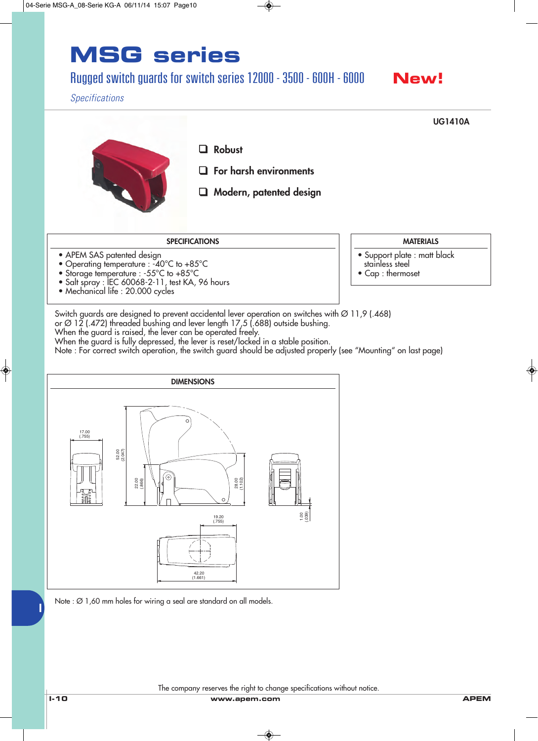#### Rugged switch guards for switch series 12000 - 3500 - 600H - 6000

### **New!**

#### *Specifications*

❑ **Robust** ❑ **For harsh environments** ❑ **Modern, patented design UG1410A**

#### **SPECIFICATIONS**

- APEM SAS patented design
- Operating temperature : -40°C to +85°C
- Storage temperature : -55°C to +85°C
- Salt spray : IEC 60068-2-11, test KA, 96 hours
- Mechanical life : 20.000 cycles
- **MATERIALS**
- Support plate : matt black
- stainless steel
- Cap : thermoset
- Switch guards are designed to prevent accidental lever operation on switches with Ø 11,9 (.468)

or Ø 12 (.472) threaded bushing and lever length 17,5 (.688) outside bushing.

When the guard is raised, the lever can be operated freely.

When the guard is fully depressed, the lever is reset/locked in a stable position.

Note : For correct switch operation, the switch guard should be adjusted properly (see "Mounting" on last page)



#### The company reserves the right to change specifications without notice.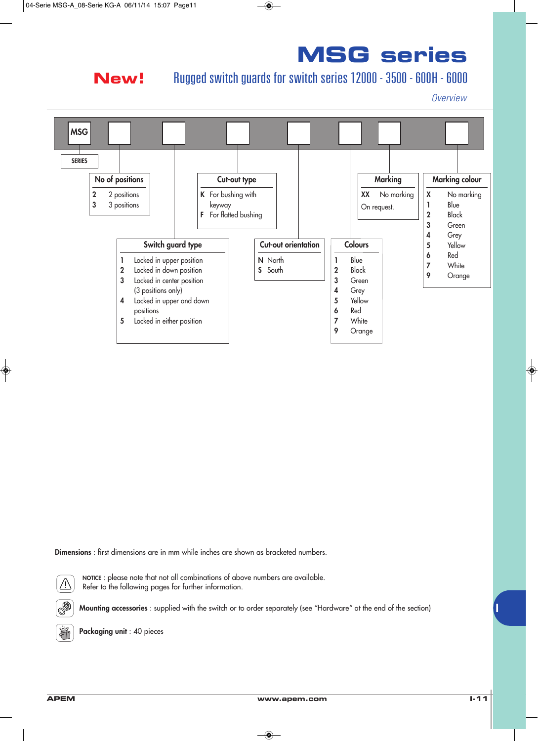### **New!**

### Rugged switch guards for switch series 12000 - 3500 - 600H - 6000

*Overview*



**Dimensions** : first dimensions are in mm while inches are shown as bracketed numbers.



**NOTICE** : please note that not all combinations of above numbers are available. Refer to the following pages for further information.

**Mounting accessories** : supplied with the switch or to order separately (see "Hardware" at the end of the section)



**Packaging unit** : 40 pieces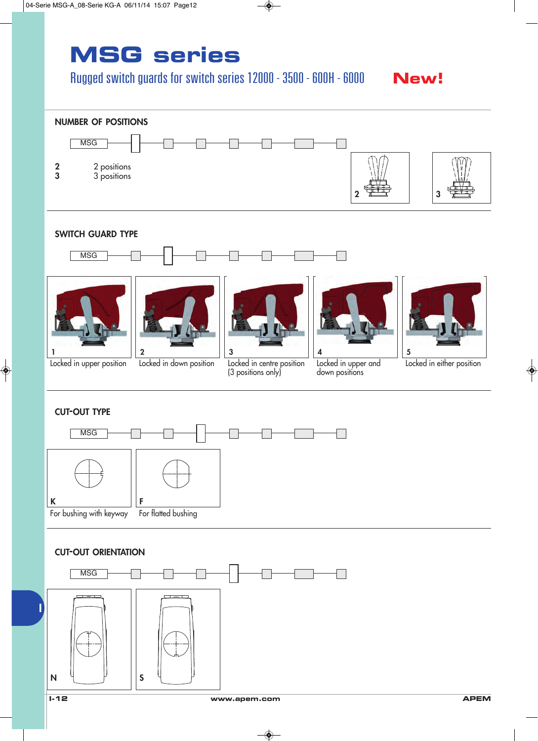### Rugged switch guards for switch series 12000 - 3500 - 600H - 6000  $\blacksquare$